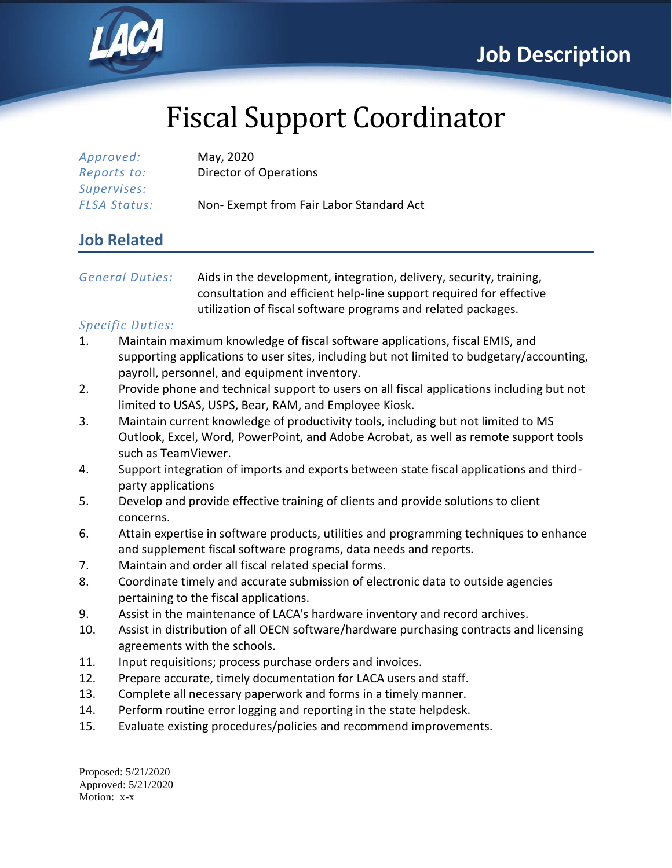

# Fiscal Support Coordinator

| Approved:           | May, 2020                               |
|---------------------|-----------------------------------------|
| Reports to:         | Director of Operations                  |
| Supervises:         |                                         |
| <b>FLSA Status:</b> | Non-Exempt from Fair Labor Standard Act |

### **Job Related**

*General Duties:* Aids in the development, integration, delivery, security, training, consultation and efficient help-line support required for effective utilization of fiscal software programs and related packages.

#### *Specific Duties:*

- 1. Maintain maximum knowledge of fiscal software applications, fiscal EMIS, and supporting applications to user sites, including but not limited to budgetary/accounting, payroll, personnel, and equipment inventory.
- 2. Provide phone and technical support to users on all fiscal applications including but not limited to USAS, USPS, Bear, RAM, and Employee Kiosk.
- 3. Maintain current knowledge of productivity tools, including but not limited to MS Outlook, Excel, Word, PowerPoint, and Adobe Acrobat, as well as remote support tools such as TeamViewer.
- 4. Support integration of imports and exports between state fiscal applications and thirdparty applications
- 5. Develop and provide effective training of clients and provide solutions to client concerns.
- 6. Attain expertise in software products, utilities and programming techniques to enhance and supplement fiscal software programs, data needs and reports.
- 7. Maintain and order all fiscal related special forms.
- 8. Coordinate timely and accurate submission of electronic data to outside agencies pertaining to the fiscal applications.
- 9. Assist in the maintenance of LACA's hardware inventory and record archives.
- 10. Assist in distribution of all OECN software/hardware purchasing contracts and licensing agreements with the schools.
- 11. Input requisitions; process purchase orders and invoices.
- 12. Prepare accurate, timely documentation for LACA users and staff.
- 13. Complete all necessary paperwork and forms in a timely manner.
- 14. Perform routine error logging and reporting in the state helpdesk.
- 15. Evaluate existing procedures/policies and recommend improvements.

Proposed: 5/21/2020 Approved: 5/21/2020 Motion: x-x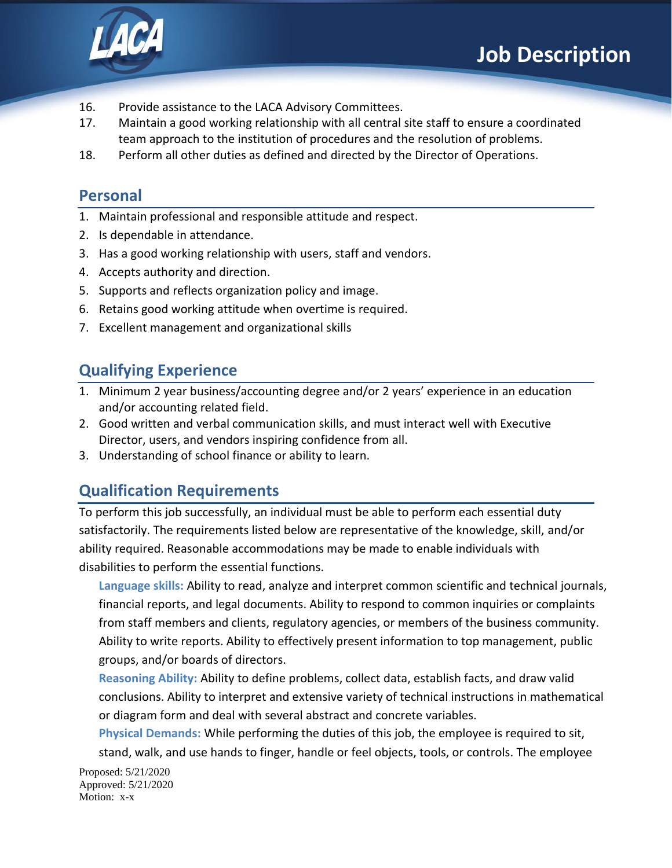

- 16. Provide assistance to the LACA Advisory Committees.
- 17. Maintain a good working relationship with all central site staff to ensure a coordinated team approach to the institution of procedures and the resolution of problems.
- 18. Perform all other duties as defined and directed by the Director of Operations.

#### **Personal**

- 1. Maintain professional and responsible attitude and respect.
- 2. Is dependable in attendance.
- 3. Has a good working relationship with users, staff and vendors.
- 4. Accepts authority and direction.
- 5. Supports and reflects organization policy and image.
- 6. Retains good working attitude when overtime is required.
- 7. Excellent management and organizational skills

## **Qualifying Experience**

- 1. Minimum 2 year business/accounting degree and/or 2 years' experience in an education and/or accounting related field.
- 2. Good written and verbal communication skills, and must interact well with Executive Director, users, and vendors inspiring confidence from all.
- 3. Understanding of school finance or ability to learn.

## **Qualification Requirements**

To perform this job successfully, an individual must be able to perform each essential duty satisfactorily. The requirements listed below are representative of the knowledge, skill, and/or ability required. Reasonable accommodations may be made to enable individuals with disabilities to perform the essential functions.

**Language skills:** Ability to read, analyze and interpret common scientific and technical journals, financial reports, and legal documents. Ability to respond to common inquiries or complaints from staff members and clients, regulatory agencies, or members of the business community. Ability to write reports. Ability to effectively present information to top management, public groups, and/or boards of directors.

**Reasoning Ability:** Ability to define problems, collect data, establish facts, and draw valid conclusions. Ability to interpret and extensive variety of technical instructions in mathematical or diagram form and deal with several abstract and concrete variables.

**Physical Demands:** While performing the duties of this job, the employee is required to sit, stand, walk, and use hands to finger, handle or feel objects, tools, or controls. The employee

Proposed: 5/21/2020 Approved: 5/21/2020 Motion: x-x